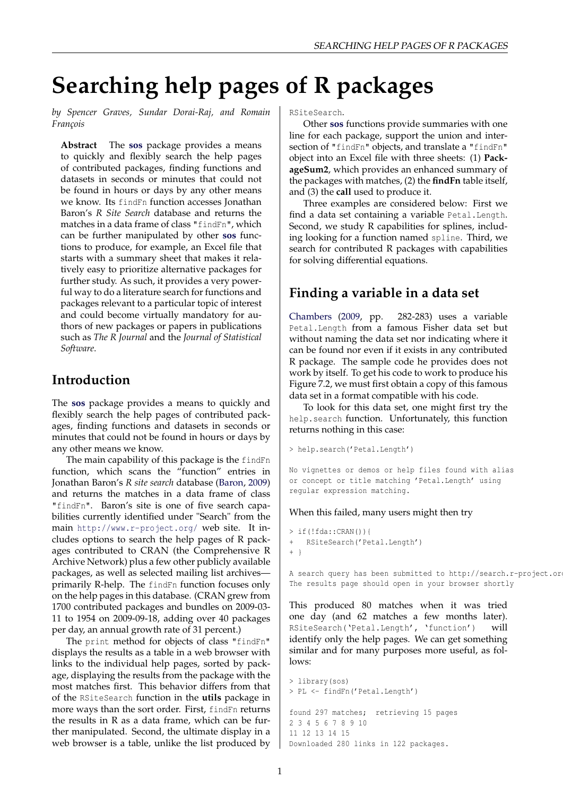# **Searching help pages of R packages**

*by Spencer Graves, Sundar Dorai-Raj, and Romain François*

**Abstract** The **[sos](http://cran.r-project.org/package=sos)** package provides a means to quickly and flexibly search the help pages of contributed packages, finding functions and datasets in seconds or minutes that could not be found in hours or days by any other means we know. Its findFn function accesses Jonathan Baron's *R Site Search* database and returns the matches in a data frame of class "findFn", which can be further manipulated by other **[sos](http://cran.r-project.org/package=sos)** functions to produce, for example, an Excel file that starts with a summary sheet that makes it relatively easy to prioritize alternative packages for further study. As such, it provides a very powerful way to do a literature search for functions and packages relevant to a particular topic of interest and could become virtually mandatory for authors of new packages or papers in publications such as *The R Journal* and the *Journal of Statistical Software*.

#### **Introduction**

The **[sos](http://cran.r-project.org/package=sos)** package provides a means to quickly and flexibly search the help pages of contributed packages, finding functions and datasets in seconds or minutes that could not be found in hours or days by any other means we know.

The main capability of this package is the findFn function, which scans the "function" entries in Jonathan Baron's *R site search* database [\(Baron,](#page-3-0) [2009\)](#page-3-0) and returns the matches in a data frame of class "findFn". Baron's site is one of five search capabilities currently identified under "Search" from the main <http://www.r-project.org/> web site. It includes options to search the help pages of R packages contributed to CRAN (the Comprehensive R Archive Network) plus a few other publicly available packages, as well as selected mailing list archives primarily R-help. The findFn function focuses only on the help pages in this database. (CRAN grew from 1700 contributed packages and bundles on 2009-03- 11 to 1954 on 2009-09-18, adding over 40 packages per day, an annual growth rate of 31 percent.)

The print method for objects of class "findFn" displays the results as a table in a web browser with links to the individual help pages, sorted by package, displaying the results from the package with the most matches first. This behavior differs from that of the RSiteSearch function in the **utils** package in more ways than the sort order. First, findFn returns the results in R as a data frame, which can be further manipulated. Second, the ultimate display in a web browser is a table, unlike the list produced by RSiteSearch.

Other **[sos](http://cran.r-project.org/package=sos)** functions provide summaries with one line for each package, support the union and intersection of "findFn" objects, and translate a "findFn" object into an Excel file with three sheets: (1) **PackageSum2**, which provides an enhanced summary of the packages with matches, (2) the **findFn** table itself, and (3) the **call** used to produce it.

Three examples are considered below: First we find a data set containing a variable Petal.Length. Second, we study R capabilities for splines, including looking for a function named spline. Third, we search for contributed R packages with capabilities for solving differential equations.

#### **Finding a variable in a data set**

[Chambers](#page-4-0) [\(2009,](#page-4-0) pp. 282-283) uses a variable Petal.Length from a famous Fisher data set but without naming the data set nor indicating where it can be found nor even if it exists in any contributed R package. The sample code he provides does not work by itself. To get his code to work to produce his Figure 7.2, we must first obtain a copy of this famous data set in a format compatible with his code.

To look for this data set, one might first try the help.search function. Unfortunately, this function returns nothing in this case:

```
> help.search('Petal.Length')
```
No vignettes or demos or help files found with alias or concept or title matching 'Petal.Length' using regular expression matching.

#### When this failed, many users might then try

```
> if(!fda::CRAN()){
   RSiteSearch('Petal.Length')
+ }
```
A search query has been submitted to http://search.r-project.org The results page should open in your browser shortly

This produced 80 matches when it was tried one day (and 62 matches a few months later). RSiteSearch('Petal.Length', 'function') will identify only the help pages. We can get something similar and for many purposes more useful, as follows:

```
> library(sos)
> PL <- findFn('Petal.Length')
found 297 matches; retrieving 15 pages
2 3 4 5 6 7 8 9 10
11 12 13 14 15
Downloaded 280 links in 122 packages.
```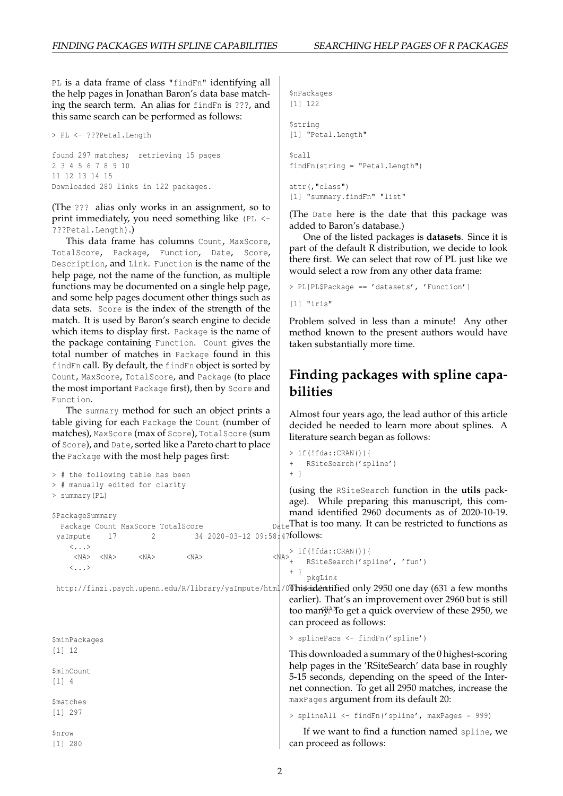PL is a data frame of class "findFn" identifying all the help pages in Jonathan Baron's data base matching the search term. An alias for findFn is ???, and this same search can be performed as follows:

```
> PL <- ???Petal.Length
found 297 matches; retrieving 15 pages
2 3 4 5 6 7 8 9 10
11 12 13 14 15
Downloaded 280 links in 122 packages.
```
(The ??? alias only works in an assignment, so to print immediately, you need something like (PL <- ???Petal.Length).)

This data frame has columns Count, MaxScore, TotalScore, Package, Function, Date, Score, Description, and Link. Function is the name of the help page, not the name of the function, as multiple functions may be documented on a single help page, and some help pages document other things such as data sets. Score is the index of the strength of the match. It is used by Baron's search engine to decide which items to display first. Package is the name of the package containing Function. Count gives the total number of matches in Package found in this findFn call. By default, the findFn object is sorted by Count, MaxScore, TotalScore, and Package (to place the most important Package first), then by Score and Function.

The summary method for such an object prints a table giving for each Package the Count (number of matches), MaxScore (max of Score), TotalScore (sum of Score), and Date, sorted like a Pareto chart to place the Package with the most help pages first:

> # the following table has been > # manually edited for clarity

> summary(PL)

```
$nPackages
[1] 122
$string
[1] "Petal.Length"
$call
findFn(string = "Petal.Length")
attr(,"class")
[1] "summary.findFn" "list"
```
(The Date here is the date that this package was added to Baron's database.)

One of the listed packages is **datasets**. Since it is part of the default R distribution, we decide to look there first. We can select that row of PL just like we would select a row from any other data frame:

```
> PL[PL$Package == 'datasets', 'Function']
[1] "iris"
```
Problem solved in less than a minute! Any other method known to the present authors would have taken substantially more time.

#### **Finding packages with spline capabilities**

Almost four years ago, the lead author of this article decided he needed to learn more about splines. A literature search began as follows:

```
> if(!fda::CRAN()){
   RSiteSearch('spline')
+ }
```
(using the RSiteSearch function in the **utils** package). While preparing this manuscript, this command identified 2960 documents as of 2020-10-19.  $D_{\text{det}}$ That is too many. It can be restricted to functions as

```
$PackageSummary
 Package Count MaxScore TotalScore
 yaImpute 17 2 34 2020-03-12 09:58:47follows:
    \langle \cdot \rangle<NA> <NA> <NA> <NA> <NA>
    \langle \ldots \ranglepkgLink
 http://finzi.psych.upenn.edu/R/library/yaImpute/html/0Thisaxlentified only 2950 one day (631 a few months
                                                         too many<sup>A</sup>To get a quick overview of these 2950, we
$minPackages
[1] 12
$minCount
[1] 4
$matches
[1] 297
$nrow
[1] 280
                                                         > if(!fda::CRAN()){
                                                    + RSiteSearch('spline', 'fun')
                                                         + }
                                                         earlier). That's an improvement over 2960 but is still
                                                         can proceed as follows:
                                                         > splinePacs <- findFn('spline')
                                                         This downloaded a summary of the 0 highest-scoring
                                                         help pages in the 'RSiteSearch' data base in roughly
                                                         5-15 seconds, depending on the speed of the Inter-
                                                         net connection. To get all 2950 matches, increase the
                                                         maxPages argument from its default 20:
                                                         > splineAll <- findFn('spline', maxPages = 999)
                                                            If we want to find a function named spline, we
                                                         can proceed as follows:
```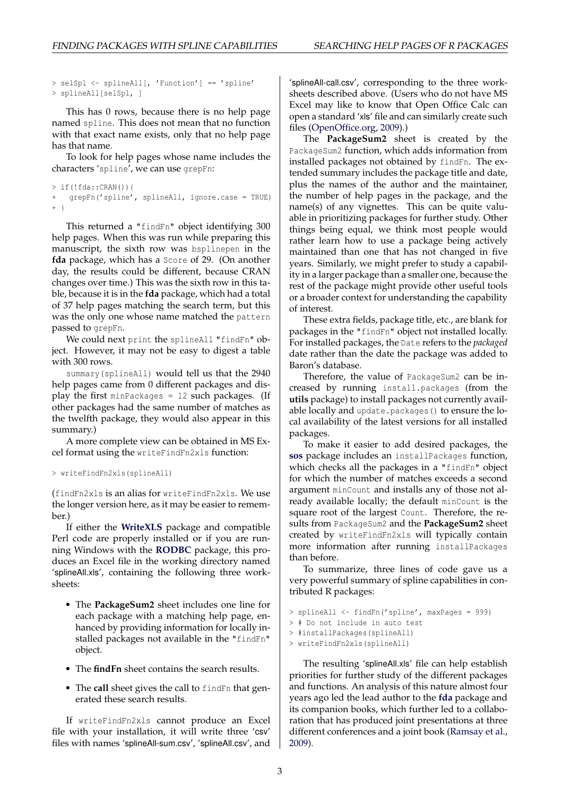```
> selSpl <- splineAll[, 'Function'] == 'spline'
> splineAll[selSpl, ]
```
This has 0 rows, because there is no help page named spline. This does not mean that no function with that exact name exists, only that no help page has that name.

To look for help pages whose name includes the characters 'spline', we can use grepFn:

```
> if(!fda::CRAN()){
+ grepFn('spline', splineAll, ignore.case = TRUE)
+ }
```
This returned a "findFn" object identifying 300 help pages. When this was run while preparing this manuscript, the sixth row was bsplinepen in the **fda** package, which has a Score of 29. (On another day, the results could be different, because CRAN changes over time.) This was the sixth row in this table, because it is in the **fda** package, which had a total of 37 help pages matching the search term, but this was the only one whose name matched the pattern passed to grepFn.

We could next print the splineAll "findFn" object. However, it may not be easy to digest a table with 300 rows.

summary(splineAll) would tell us that the 2940 help pages came from 0 different packages and display the first minPackages = 12 such packages. (If other packages had the same number of matches as the twelfth package, they would also appear in this summary.)

A more complete view can be obtained in MS Excel format using the writeFindFn2xls function:

```
> writeFindFn2xls(splineAll)
```
(findFn2xls is an alias for writeFindFn2xls. We use the longer version here, as it may be easier to remember.)

If either the **[WriteXLS](http://cran.r-project.org/package=WriteXLS)** package and compatible Perl code are properly installed or if you are running Windows with the **[RODBC](http://cran.r-project.org/package=RODBC)** package, this produces an Excel file in the working directory named 'splineAll.xls', containing the following three worksheets:

- The **PackageSum2** sheet includes one line for each package with a matching help page, enhanced by providing information for locally installed packages not available in the "findFn" object.
- The **findFn** sheet contains the search results.
- The **call** sheet gives the call to findFn that generated these search results.

If writeFindFn2xls cannot produce an Excel file with your installation, it will write three 'csv' files with names 'splineAll-sum.csv', 'splineAll.csv', and

'splineAll-call.csv', corresponding to the three worksheets described above. (Users who do not have MS Excel may like to know that Open Office Calc can open a standard 'xls' file and can similarly create such files [\(OpenOffice.org,](#page-4-1) [2009\)](#page-4-1).)

The **PackageSum2** sheet is created by the PackageSum2 function, which adds information from installed packages not obtained by findFn. The extended summary includes the package title and date, plus the names of the author and the maintainer, the number of help pages in the package, and the name(s) of any vignettes. This can be quite valuable in prioritizing packages for further study. Other things being equal, we think most people would rather learn how to use a package being actively maintained than one that has not changed in five years. Similarly, we might prefer to study a capability in a larger package than a smaller one, because the rest of the package might provide other useful tools or a broader context for understanding the capability of interest.

These extra fields, package title, etc., are blank for packages in the "findFn" object not installed locally. For installed packages, the Date refers to the *packaged* date rather than the date the package was added to Baron's database.

Therefore, the value of PackageSum2 can be increased by running install.packages (from the **utils** package) to install packages not currently available locally and update.packages() to ensure the local availability of the latest versions for all installed packages.

To make it easier to add desired packages, the **[sos](http://cran.r-project.org/package=sos)** package includes an installPackages function, which checks all the packages in a "findFn" object for which the number of matches exceeds a second argument minCount and installs any of those not already available locally; the default minCount is the square root of the largest Count. Therefore, the results from PackageSum2 and the **PackageSum2** sheet created by writeFindFn2xls will typically contain more information after running installPackages than before.

To summarize, three lines of code gave us a very powerful summary of spline capabilities in contributed R packages:

```
> splineAll <- findFn('spline', maxPages = 999)
```

```
> # Do not include in auto test
```

```
> #installPackages(splineAll)
```

```
> writeFindFn2xls(splineAll)
```
The resulting 'splineAll.xls' file can help establish priorities for further study of the different packages and functions. An analysis of this nature almost four years ago led the lead author to the **[fda](http://cran.r-project.org/package=fda)** package and its companion books, which further led to a collaboration that has produced joint presentations at three different conferences and a joint book [\(Ramsay et al.,](#page-4-2) [2009\)](#page-4-2).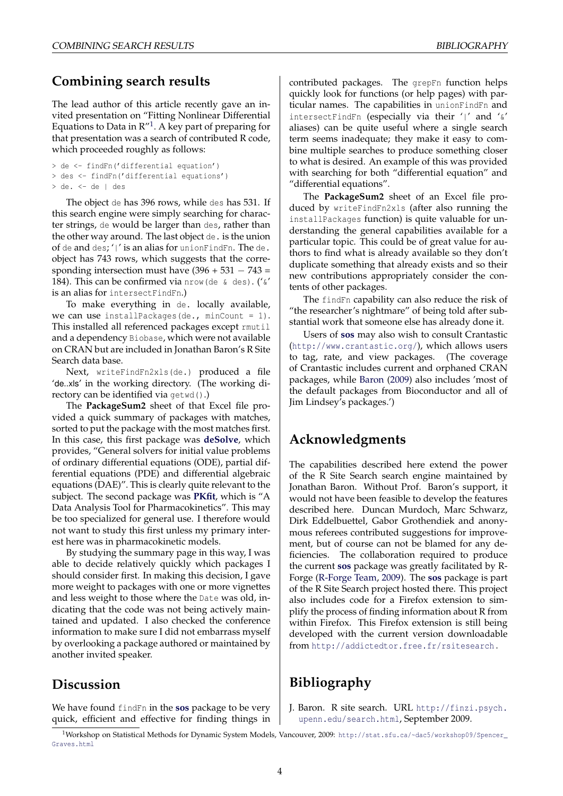#### **Combining search results**

The lead author of this article recently gave an invited presentation on "Fitting Nonlinear Differential Equations to Data in  $R''$ <sup>[1](#page-3-1)</sup>. A key part of preparing for that presentation was a search of contributed R code, which proceeded roughly as follows:

```
> de <- findFn('differential equation')
> des <- findFn('differential equations')
> de. <- de | des
```
The object de has 396 rows, while des has 531. If this search engine were simply searching for character strings, de would be larger than des, rather than the other way around. The last object de. is the union of de and des; '|' is an alias for unionFindFn. The de. object has 743 rows, which suggests that the corresponding intersection must have  $(396 + 531 - 743 =$ 184). This can be confirmed via nrow (de  $\kappa$  des). (' $\kappa'$ is an alias for intersectFindFn.)

To make everything in de. locally available, we can use installPackages(de., minCount =  $1$ ). This installed all referenced packages except rmutil and a dependency Biobase, which were not available on CRAN but are included in Jonathan Baron's R Site Search data base.

Next, writeFindFn2xls(de.) produced a file 'de..xls' in the working directory. (The working directory can be identified via getwd().)

The **PackageSum2** sheet of that Excel file provided a quick summary of packages with matches, sorted to put the package with the most matches first. In this case, this first package was **[deSolve](http://cran.r-project.org/package=deSolve)**, which provides, "General solvers for initial value problems of ordinary differential equations (ODE), partial differential equations (PDE) and differential algebraic equations (DAE)". This is clearly quite relevant to the subject. The second package was **[PKfit](http://cran.r-project.org/package=PKfit)**, which is "A Data Analysis Tool for Pharmacokinetics". This may be too specialized for general use. I therefore would not want to study this first unless my primary interest here was in pharmacokinetic models.

By studying the summary page in this way, I was able to decide relatively quickly which packages I should consider first. In making this decision, I gave more weight to packages with one or more vignettes and less weight to those where the Date was old, indicating that the code was not being actively maintained and updated. I also checked the conference information to make sure I did not embarrass myself by overlooking a package authored or maintained by another invited speaker.

#### **Discussion**

We have found findFn in the **[sos](http://cran.r-project.org/package=sos)** package to be very quick, efficient and effective for finding things in contributed packages. The grepFn function helps quickly look for functions (or help pages) with particular names. The capabilities in unionFindFn and intersectFindFn (especially via their '|' and '&' aliases) can be quite useful where a single search term seems inadequate; they make it easy to combine multiple searches to produce something closer to what is desired. An example of this was provided with searching for both "differential equation" and "differential equations".

The **PackageSum2** sheet of an Excel file produced by writeFindFn2xls (after also running the installPackages function) is quite valuable for understanding the general capabilities available for a particular topic. This could be of great value for authors to find what is already available so they don't duplicate something that already exists and so their new contributions appropriately consider the contents of other packages.

The findFn capability can also reduce the risk of "the researcher's nightmare" of being told after substantial work that someone else has already done it.

Users of **[sos](http://cran.r-project.org/package=sos)** may also wish to consult Crantastic (<http://www.crantastic.org/>), which allows users to tag, rate, and view packages. (The coverage of Crantastic includes current and orphaned CRAN packages, while [Baron](#page-3-0) [\(2009\)](#page-3-0) also includes 'most of the default packages from Bioconductor and all of Jim Lindsey's packages.')

### **Acknowledgments**

The capabilities described here extend the power of the R Site Search search engine maintained by Jonathan Baron. Without Prof. Baron's support, it would not have been feasible to develop the features described here. Duncan Murdoch, Marc Schwarz, Dirk Eddelbuettel, Gabor Grothendiek and anonymous referees contributed suggestions for improvement, but of course can not be blamed for any deficiencies. The collaboration required to produce the current **[sos](http://cran.r-project.org/package=sos)** package was greatly facilitated by R-Forge [\(R-Forge Team,](#page-4-3) [2009\)](#page-4-3). The **[sos](http://cran.r-project.org/package=sos)** package is part of the R Site Search project hosted there. This project also includes code for a Firefox extension to simplify the process of finding information about R from within Firefox. This Firefox extension is still being developed with the current version downloadable from <http://addictedtor.free.fr/rsitesearch> .

## **Bibliography**

<span id="page-3-0"></span>J. Baron. R site search. URL [http://finzi.psych.](http://finzi.psych.upenn.edu/ search.html) [upenn.edu/search.html](http://finzi.psych.upenn.edu/ search.html), September 2009.

<span id="page-3-1"></span><sup>1</sup>Workshop on Statistical Methods for Dynamic System Models, Vancouver, 2009: [http://stat.sfu.ca/~dac5/workshop09/Spencer\\_](http://stat.sfu.ca/~dac5/workshop09/Spencer_Graves.html) [Graves.html](http://stat.sfu.ca/~dac5/workshop09/Spencer_Graves.html)